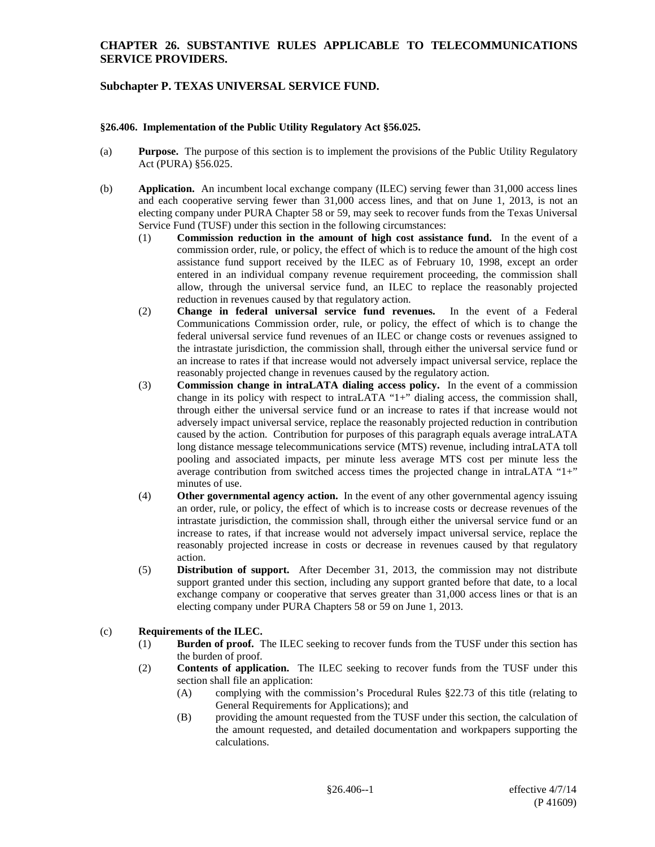### **CHAPTER 26. SUBSTANTIVE RULES APPLICABLE TO TELECOMMUNICATIONS SERVICE PROVIDERS.**

## **Subchapter P. TEXAS UNIVERSAL SERVICE FUND.**

#### **§26.406. Implementation of the Public Utility Regulatory Act §56.025.**

- (a) **Purpose.** The purpose of this section is to implement the provisions of the Public Utility Regulatory Act (PURA) §56.025.
- (b) **Application.** An incumbent local exchange company (ILEC) serving fewer than 31,000 access lines and each cooperative serving fewer than 31,000 access lines, and that on June 1, 2013, is not an electing company under PURA Chapter 58 or 59, may seek to recover funds from the Texas Universal Service Fund (TUSF) under this section in the following circumstances:
	- (1) **Commission reduction in the amount of high cost assistance fund.** In the event of a commission order, rule, or policy, the effect of which is to reduce the amount of the high cost assistance fund support received by the ILEC as of February 10, 1998, except an order entered in an individual company revenue requirement proceeding, the commission shall allow, through the universal service fund, an ILEC to replace the reasonably projected reduction in revenues caused by that regulatory action.
	- (2) **Change in federal universal service fund revenues.** In the event of a Federal Communications Commission order, rule, or policy, the effect of which is to change the federal universal service fund revenues of an ILEC or change costs or revenues assigned to the intrastate jurisdiction, the commission shall, through either the universal service fund or an increase to rates if that increase would not adversely impact universal service, replace the reasonably projected change in revenues caused by the regulatory action.
	- (3) **Commission change in intraLATA dialing access policy.** In the event of a commission change in its policy with respect to intraLATA "1+" dialing access, the commission shall, through either the universal service fund or an increase to rates if that increase would not adversely impact universal service, replace the reasonably projected reduction in contribution caused by the action. Contribution for purposes of this paragraph equals average intraLATA long distance message telecommunications service (MTS) revenue, including intraLATA toll pooling and associated impacts, per minute less average MTS cost per minute less the average contribution from switched access times the projected change in intraLATA "1+" minutes of use.
	- (4) **Other governmental agency action.** In the event of any other governmental agency issuing an order, rule, or policy, the effect of which is to increase costs or decrease revenues of the intrastate jurisdiction, the commission shall, through either the universal service fund or an increase to rates, if that increase would not adversely impact universal service, replace the reasonably projected increase in costs or decrease in revenues caused by that regulatory action.
	- (5) **Distribution of support.** After December 31, 2013, the commission may not distribute support granted under this section, including any support granted before that date, to a local exchange company or cooperative that serves greater than 31,000 access lines or that is an electing company under PURA Chapters 58 or 59 on June 1, 2013.

#### (c) **Requirements of the ILEC.**

- (1) **Burden of proof.** The ILEC seeking to recover funds from the TUSF under this section has the burden of proof.
- (2) **Contents of application.** The ILEC seeking to recover funds from the TUSF under this section shall file an application:
	- (A) complying with the commission's Procedural Rules §22.73 of this title (relating to General Requirements for Applications); and
	- (B) providing the amount requested from the TUSF under this section, the calculation of the amount requested, and detailed documentation and workpapers supporting the calculations.